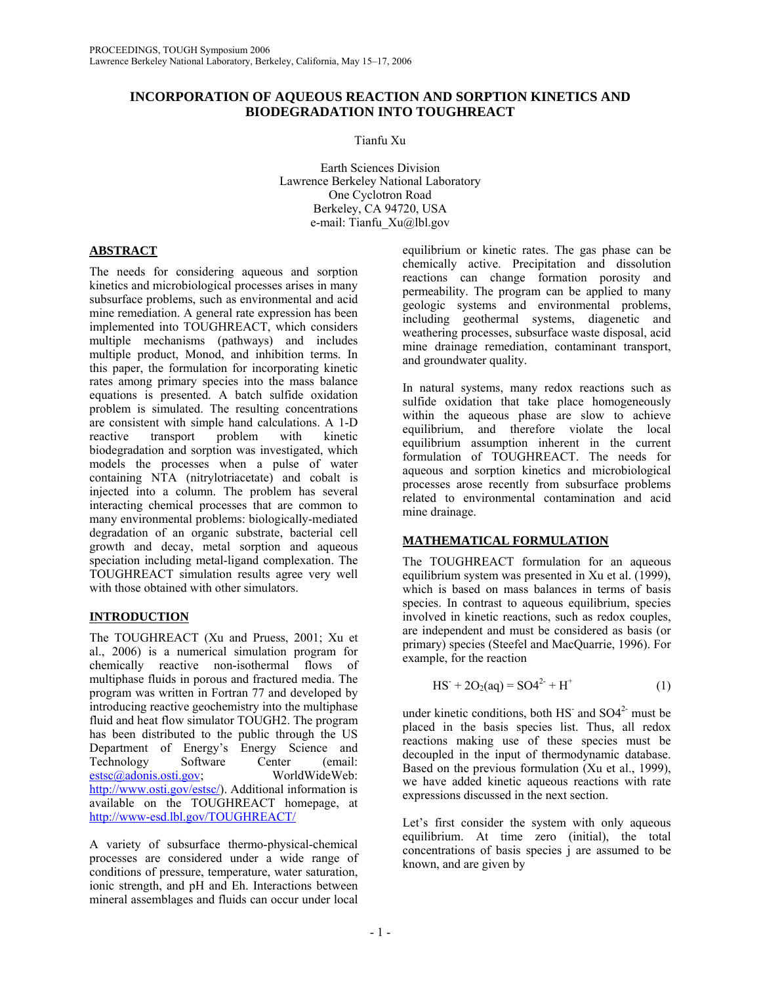## **INCORPORATION OF AQUEOUS REACTION AND SORPTION KINETICS AND BIODEGRADATION INTO TOUGHREACT**

Tianfu Xu

Earth Sciences Division Lawrence Berkeley National Laboratory One Cyclotron Road Berkeley, CA 94720, USA e-mail: Tianfu\_Xu@lbl.gov

# **ABSTRACT**

The needs for considering aqueous and sorption kinetics and microbiological processes arises in many subsurface problems, such as environmental and acid mine remediation. A general rate expression has been implemented into TOUGHREACT, which considers multiple mechanisms (pathways) and includes multiple product, Monod, and inhibition terms. In this paper, the formulation for incorporating kinetic rates among primary species into the mass balance equations is presented. A batch sulfide oxidation problem is simulated. The resulting concentrations are consistent with simple hand calculations. A 1-D reactive transport problem with kinetic biodegradation and sorption was investigated, which models the processes when a pulse of water containing NTA (nitrylotriacetate) and cobalt is injected into a column. The problem has several interacting chemical processes that are common to many environmental problems: biologically-mediated degradation of an organic substrate, bacterial cell growth and decay, metal sorption and aqueous speciation including metal-ligand complexation. The TOUGHREACT simulation results agree very well with those obtained with other simulators.

# **INTRODUCTION**

The TOUGHREACT (Xu and Pruess, 2001; Xu et al., 2006) is a numerical simulation program for chemically reactive non-isothermal flows of multiphase fluids in porous and fractured media. The program was written in Fortran 77 and developed by introducing reactive geochemistry into the multiphase fluid and heat flow simulator TOUGH2. The program has been distributed to the public through the US Department of Energy's Energy Science and Technology Software Center (email: estsc@adonis.osti.gov; WorldWideWeb: http://www.osti.gov/estsc/). Additional information is available on the TOUGHREACT homepage, at http://www-esd.lbl.gov/TOUGHREACT/

A variety of subsurface thermo-physical-chemical processes are considered under a wide range of conditions of pressure, temperature, water saturation, ionic strength, and pH and Eh. Interactions between mineral assemblages and fluids can occur under local

equilibrium or kinetic rates. The gas phase can be chemically active. Precipitation and dissolution reactions can change formation porosity and permeability. The program can be applied to many geologic systems and environmental problems, including geothermal systems, diagenetic and weathering processes, subsurface waste disposal, acid mine drainage remediation, contaminant transport, and groundwater quality.

In natural systems, many redox reactions such as sulfide oxidation that take place homogeneously within the aqueous phase are slow to achieve equilibrium, and therefore violate the local equilibrium assumption inherent in the current formulation of TOUGHREACT. The needs for aqueous and sorption kinetics and microbiological processes arose recently from subsurface problems related to environmental contamination and acid mine drainage.

## **MATHEMATICAL FORMULATION**

The TOUGHREACT formulation for an aqueous equilibrium system was presented in Xu et al. (1999), which is based on mass balances in terms of basis species. In contrast to aqueous equilibrium, species involved in kinetic reactions, such as redox couples, are independent and must be considered as basis (or primary) species (Steefel and MacQuarrie, 1996). For example, for the reaction

$$
HS+ + 2O2(aq) = SO42+ + H+
$$
 (1)

under kinetic conditions, both  $HS$  and  $SO4<sup>2</sup>$  must be placed in the basis species list. Thus, all redox reactions making use of these species must be decoupled in the input of thermodynamic database. Based on the previous formulation (Xu et al., 1999), we have added kinetic aqueous reactions with rate expressions discussed in the next section.

Let's first consider the system with only aqueous equilibrium. At time zero (initial), the total concentrations of basis species j are assumed to be known, and are given by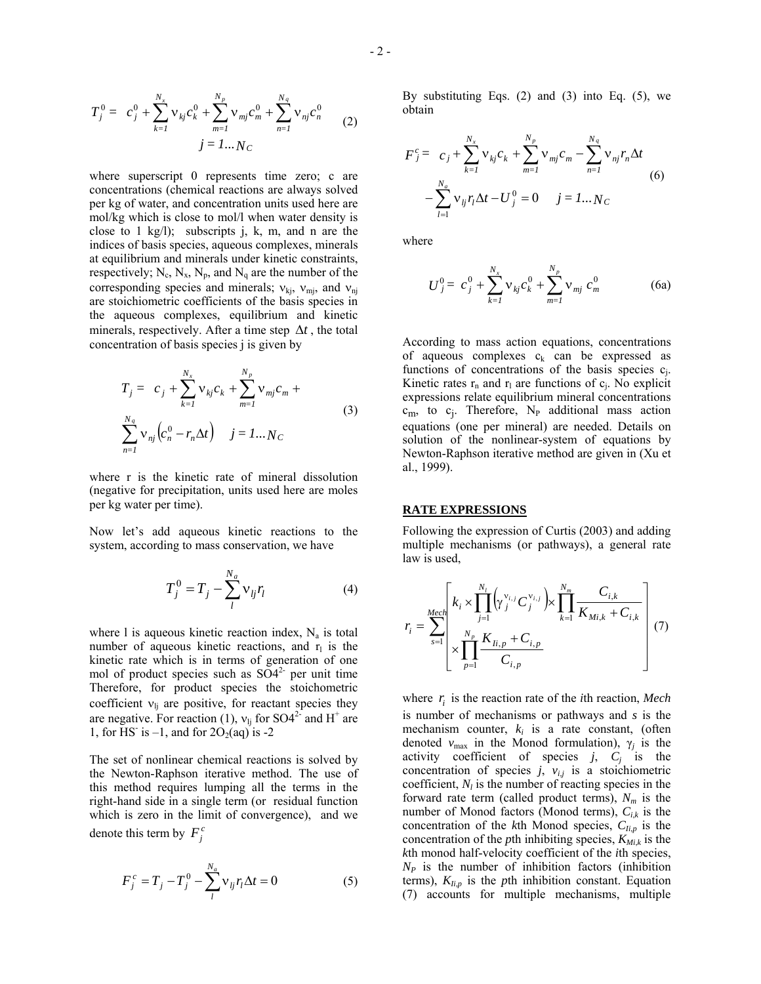$$
T_j^0 = c_j^0 + \sum_{k=1}^{N_x} v_{kj} c_k^0 + \sum_{m=1}^{N_p} v_{mj} c_m^0 + \sum_{n=1}^{N_q} v_{nj} c_n^0
$$
  

$$
j = 1...N_C
$$
 (2)

where superscript 0 represents time zero; c are concentrations (chemical reactions are always solved per kg of water, and concentration units used here are mol/kg which is close to mol/l when water density is close to 1 kg/l); subscripts j, k, m, and n are the indices of basis species, aqueous complexes, minerals at equilibrium and minerals under kinetic constraints, respectively;  $N_c$ ,  $N_x$ ,  $N_p$ , and  $N_q$  are the number of the corresponding species and minerals;  $v_{ki}$ ,  $v_{mi}$ , and  $v_{ni}$ are stoichiometric coefficients of the basis species in the aqueous complexes, equilibrium and kinetic minerals, respectively. After a time step ∆*t* , the total concentration of basis species j is given by

$$
T_{j} = c_{j} + \sum_{k=1}^{N_{x}} v_{kj} c_{k} + \sum_{m=1}^{N_{p}} v_{mj} c_{m} + \sum_{n=1}^{N_{q}} v_{nj} (c_{n}^{0} - r_{n} \Delta t) \quad j = 1...N_{C}
$$
\n(3)

where r is the kinetic rate of mineral dissolution (negative for precipitation, units used here are moles per kg water per time).

Now let's add aqueous kinetic reactions to the system, according to mass conservation, we have

$$
T_j^0 = T_j - \sum_l^{N_a} \mathbf{v}_{lj} r_l \tag{4}
$$

where 1 is aqueous kinetic reaction index,  $N_a$  is total number of aqueous kinetic reactions, and  $r<sub>l</sub>$  is the kinetic rate which is in terms of generation of one mol of product species such as  $SO4<sup>2-</sup>$  per unit time Therefore, for product species the stoichometric coefficient  $v_{lj}$  are positive, for reactant species they are negative. For reaction (1),  $v_{lj}$  for SO4<sup>2-</sup> and H<sup>+</sup> are 1, for HS<sup>-</sup> is -1, and for  $2O<sub>2</sub>(aq)$  is -2

The set of nonlinear chemical reactions is solved by the Newton-Raphson iterative method. The use of this method requires lumping all the terms in the right-hand side in a single term (or residual function which is zero in the limit of convergence), and we denote this term by  $F_i^c$ 

$$
F_j^c = T_j - T_j^0 - \sum_{l}^{N_a} v_{lj} r_l \Delta t = 0
$$
 (5)

By substituting Eqs. (2) and (3) into Eq. (5), we obtain

$$
F_j^c = c_j + \sum_{k=1}^{N_x} v_{kj} c_k + \sum_{m=1}^{N_p} v_{mj} c_m - \sum_{n=1}^{N_q} v_{nj} r_n \Delta t
$$
  
-
$$
\sum_{l=1}^{N_a} v_{lj} r_l \Delta t - U_j^0 = 0 \quad j = 1...N_c
$$
 (6)

where

$$
U_j^0 = c_j^0 + \sum_{k=1}^{N_x} v_{kj} c_k^0 + \sum_{m=1}^{N_p} v_{mj} c_m^0
$$
 (6a)

According to mass action equations, concentrations of aqueous complexes  $c_k$  can be expressed as functions of concentrations of the basis species  $c_i$ . Kinetic rates  $r_n$  and  $r_l$  are functions of  $c_i$ . No explicit expressions relate equilibrium mineral concentrations  $c_m$ , to  $c_j$ . Therefore, N<sub>P</sub> additional mass action equations (one per mineral) are needed. Details on solution of the nonlinear-system of equations by Newton-Raphson iterative method are given in (Xu et al., 1999).

### **RATE EXPRESSIONS**

Following the expression of Curtis (2003) and adding multiple mechanisms (or pathways), a general rate law is used,

$$
r_{i} = \sum_{s=1}^{Mech} \left[ k_{i} \times \prod_{j=1}^{N_{i}} (\gamma_{j}^{v_{i,j}} C_{j}^{v_{i,j}}) \times \prod_{k=1}^{N_{m}} \frac{C_{i,k}}{K_{Mi,k} + C_{i,k}} \right] (7)
$$

where  $r_i$  is the reaction rate of the *i*th reaction, *Mech* is number of mechanisms or pathways and *s* is the mechanism counter, *ki* is a rate constant, (often denoted  $v_{\text{max}}$  in the Monod formulation),  $\gamma_i$  is the activity coefficient of species  $j$ ,  $C_j$  is the concentration of species  $j$ ,  $v_{i,j}$  is a stoichiometric coefficient,  $N_l$  is the number of reacting species in the forward rate term (called product terms),  $N_m$  is the number of Monod factors (Monod terms), *Ci*,*k* is the concentration of the  $k$ th Monod species,  $C_{Iip}$  is the concentration of the *p*th inhibiting species,  $K_{Mik}$  is the *k*th monod half-velocity coefficient of the *i*th species,  $N_P$  is the number of inhibition factors (inhibition terms),  $K_{li,p}$  is the *p*th inhibition constant. Equation (7) accounts for multiple mechanisms, multiple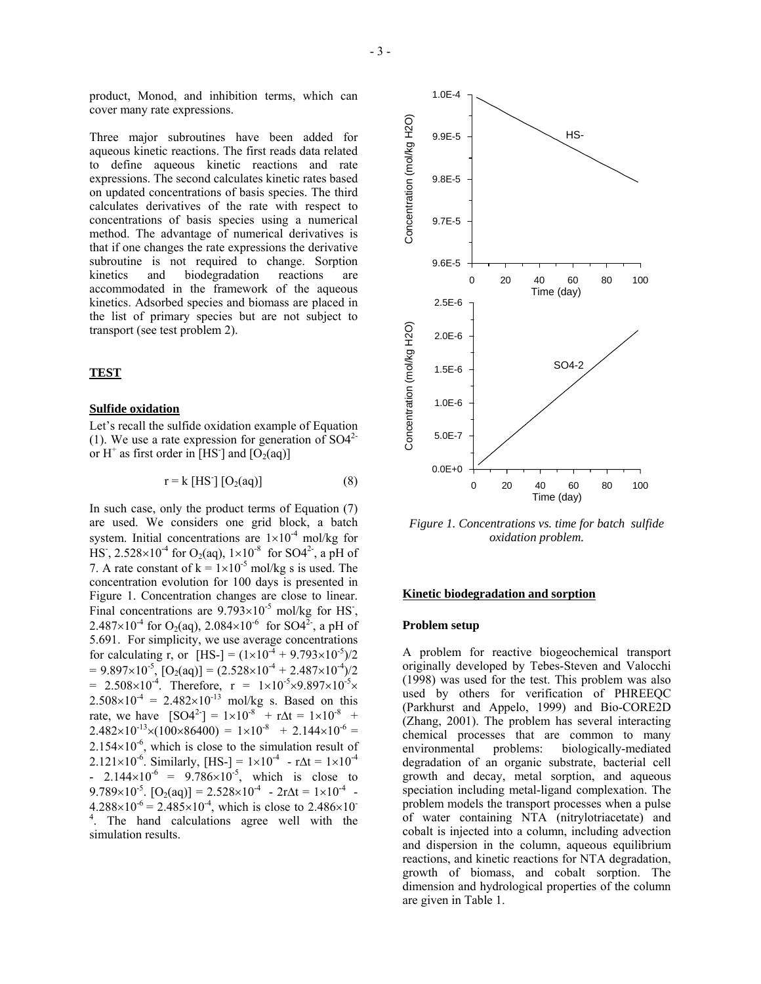product, Monod, and inhibition terms, which can cover many rate expressions.

Three major subroutines have been added for aqueous kinetic reactions. The first reads data related to define aqueous kinetic reactions and rate expressions. The second calculates kinetic rates based on updated concentrations of basis species. The third calculates derivatives of the rate with respect to concentrations of basis species using a numerical method. The advantage of numerical derivatives is that if one changes the rate expressions the derivative subroutine is not required to change. Sorption kinetics and biodegradation reactions are accommodated in the framework of the aqueous kinetics. Adsorbed species and biomass are placed in the list of primary species but are not subject to transport (see test problem 2).

### **TEST**

### **Sulfide oxidation**

Let's recall the sulfide oxidation example of Equation (1). We use a rate expression for generation of  $SO4<sup>2</sup>$ or  $H^+$  as first order in [HS<sup>-</sup>] and [O<sub>2</sub>(aq)]

$$
r = k [HS'] [O_2(aq)] \tag{8}
$$

In such case, only the product terms of Equation (7) are used. We considers one grid block, a batch system. Initial concentrations are  $1\times10^{-4}$  mol/kg for HS<sup>-</sup>, 2.528×10<sup>-4</sup> for O<sub>2</sub>(aq),  $1\times10^{-8}$  for SO4<sup>2-</sup>, a pH of 7. A rate constant of  $k = 1 \times 10^{-5}$  mol/kg s is used. The concentration evolution for 100 days is presented in Figure 1. Concentration changes are close to linear. Final concentrations are  $9.793 \times 10^{-5}$  mol/kg for HS<sup>-</sup>, 2.487×10<sup>-4</sup> for O<sub>2</sub>(aq), 2.084×10<sup>-6</sup> for SO4<sup>2-</sup>, a pH of 5.691. For simplicity, we use average concentrations for calculating r, or  $[HS-] = (1 \times 10^{-4} + 9.793 \times 10^{-5})/2$  $= 9.897 \times 10^{-5}$ ,  $[O_2(aq)] = (2.528 \times 10^{-4} + 2.487 \times 10^{-4})/2$ = 2.508×10<sup>-4</sup>. Therefore,  $r = 1 \times 10^{-5} \times 9.897 \times 10^{-5} \times$  $2.508 \times 10^{-4} = 2.482 \times 10^{-13}$  mol/kg s. Based on this rate, we have  $[SO4^{2}] = 1 \times 10^{-8} + r\Delta t = 1 \times 10^{-8} +$  $2.482\times10^{-13}\times(100\times86400) = 1\times10^{-8} + 2.144\times10^{-6} =$  $2.154\times10^{-6}$ , which is close to the simulation result of 2.121×10<sup>-6</sup>. Similarly, [HS-] =  $1 \times 10^{-4}$  -  $r\Delta t = 1 \times 10^{-4}$ - 2.144×10<sup>-6</sup> = 9.786×10<sup>-5</sup>, which is close to 9.789×10<sup>-5</sup>.  $[O_2(aq)] = 2.528 \times 10^{-4} - 2r\Delta t = 1 \times 10^{-4}$  $4.288 \times 10^{-6} = 2.485 \times 10^{-4}$ , which is close to  $2.486 \times 10^{-7}$ 4 . The hand calculations agree well with the simulation results.



*Figure 1. Concentrations vs. time for batch sulfide oxidation problem.* 

### **Kinetic biodegradation and sorption**

#### **Problem setup**

A problem for reactive biogeochemical transport originally developed by Tebes-Steven and Valocchi (1998) was used for the test. This problem was also used by others for verification of PHREEQC (Parkhurst and Appelo, 1999) and Bio-CORE2D (Zhang, 2001). The problem has several interacting chemical processes that are common to many environmental problems: biologically-mediated degradation of an organic substrate, bacterial cell growth and decay, metal sorption, and aqueous speciation including metal-ligand complexation. The problem models the transport processes when a pulse of water containing NTA (nitrylotriacetate) and cobalt is injected into a column, including advection and dispersion in the column, aqueous equilibrium reactions, and kinetic reactions for NTA degradation, growth of biomass, and cobalt sorption. The dimension and hydrological properties of the column are given in Table 1.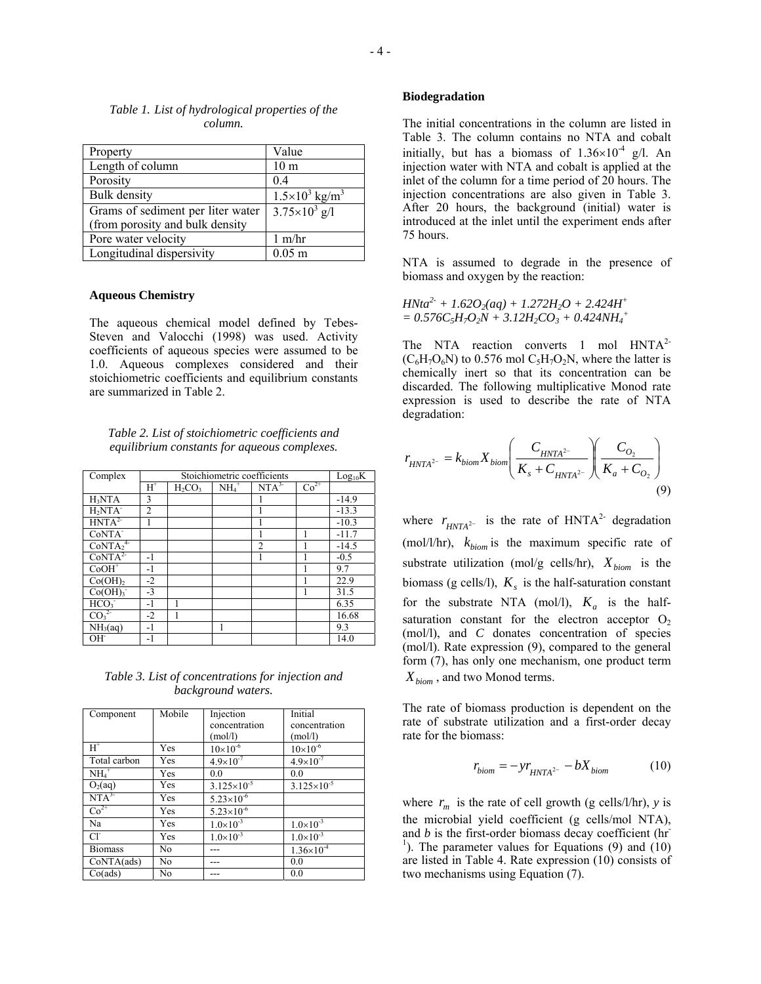| Property                          | Value                               |
|-----------------------------------|-------------------------------------|
| Length of column                  | 10 <sub>m</sub>                     |
| Porosity                          | 04                                  |
| <b>Bulk</b> density               | $1.5\times10^{3}$ kg/m <sup>3</sup> |
| Grams of sediment per liter water | $3.75 \times 10^3$ g/l              |
| (from porosity and bulk density   |                                     |
| Pore water velocity               | $1 \text{ m/hr}$                    |
| Longitudinal dispersivity         | $0.05$ m                            |

## *Table 1. List of hydrological properties of the column.*

### **Aqueous Chemistry**

The aqueous chemical model defined by Tebes-Steven and Valocchi (1998) was used. Activity coefficients of aqueous species were assumed to be 1.0. Aqueous complexes considered and their stoichiometric coefficients and equilibrium constants are summarized in Table 2.

*Table 2. List of stoichiometric coefficients and equilibrium constants for aqueous complexes.* 

| Complex                         | Stoichiometric coefficients |           |                            | $Log_{10}K$      |        |         |
|---------------------------------|-----------------------------|-----------|----------------------------|------------------|--------|---------|
|                                 | $H^+$                       | $H_2CO_3$ | $\overline{\text{NH}_4}^+$ | NTA <sup>3</sup> | $Co2+$ |         |
| H <sub>3</sub> NTA              | 3                           |           |                            |                  |        | $-14.9$ |
| $H2NTA-$                        | $\overline{c}$              |           |                            |                  |        | $-13.3$ |
| HNTA <sup>2</sup>               |                             |           |                            |                  |        | $-10.3$ |
| CoNTA <sup>-</sup>              |                             |           |                            |                  |        | $-11.7$ |
| CoNTA <sub>2</sub> <sup>4</sup> |                             |           |                            | $\overline{2}$   |        | $-14.5$ |
| CoNTA <sup>2</sup>              | $-1$                        |           |                            |                  |        | $-0.5$  |
| $CoOH+$                         | $-1$                        |           |                            |                  |        | 9.7     |
| $Co(OH)_{2}$                    | $-2$                        |           |                            |                  |        | 22.9    |
| Co(OH) <sub>3</sub>             | $-3$                        |           |                            |                  |        | 31.5    |
| HCO <sub>3</sub>                | $-1$                        |           |                            |                  |        | 6.35    |
| CO <sub>3</sub> <sup>2</sup>    | $-2$                        |           |                            |                  |        | 16.68   |
| NH <sub>3</sub> (aq)            | $-1$                        |           | 1                          |                  |        | 9.3     |
| OH <sup>-</sup>                 | $-1$                        |           |                            |                  |        | 14.0    |

*Table 3. List of concentrations for injection and background waters.* 

| Component        | Mobile | Injection              | Initial              |
|------------------|--------|------------------------|----------------------|
|                  |        | concentration          | concentration        |
|                  |        | (mol/l)                | (mol/l)              |
| $H^+$            | Yes    | $10\times10^{-6}$      | $10\times10^{-6}$    |
| Total carbon     | Yes    | $4.9 \times 10^{-7}$   | $4.9 \times 10^{-7}$ |
| $NH_4^+$         | Yes    | 0.0                    | 0.0                  |
| $O_2(aq)$        | Yes    | $3.125 \times 10^{-5}$ | $3.125\times10^{-5}$ |
| NTA <sup>3</sup> | Yes    | $5.23\times10^{-6}$    |                      |
| $\text{Co}^{2+}$ | Yes    | $5.23 \times 10^{-6}$  |                      |
| Na               | Yes    | $1.0\times10^{-3}$     | $1.0\times10^{-3}$   |
| $Cl^{\sim}$      | Yes    | $1.0\times10^{-3}$     | $1.0\times10^{-3}$   |
| <b>Biomass</b>   | No     |                        | $1.36\times10^{-4}$  |
| CoNTA(ads)       | No     |                        | 0.0                  |
| Co(ads)          | No     |                        | 0.0                  |

### **Biodegradation**

The initial concentrations in the column are listed in Table 3. The column contains no NTA and cobalt initially, but has a biomass of  $1.36 \times 10^{-4}$  g/l. An injection water with NTA and cobalt is applied at the inlet of the column for a time period of 20 hours. The injection concentrations are also given in Table 3. After 20 hours, the background (initial) water is introduced at the inlet until the experiment ends after 75 hours.

NTA is assumed to degrade in the presence of biomass and oxygen by the reaction:

$$
H N t a^{2} + 1.62 O_2(aq) + 1.272 H_2 O + 2.424 H^{+}
$$
  
= 0.576 C<sub>5</sub>H<sub>7</sub>O<sub>2</sub>N + 3.12H<sub>2</sub>CO<sub>3</sub> + 0.424NH<sub>4</sub><sup>+</sup>

The NTA reaction converts 1 mol HNTA<sup>2-</sup>  $(C_6H_7O_6N)$  to 0.576 mol  $C_5H_7O_2N$ , where the latter is chemically inert so that its concentration can be discarded. The following multiplicative Monod rate expression is used to describe the rate of NTA degradation:

$$
r_{HNTA^{2-}} = k_{biom} X_{biom} \left( \frac{C_{HNTA^{2-}}}{K_s + C_{HNTA^{2-}}} \right) \left( \frac{C_{O_2}}{K_a + C_{O_2}} \right)
$$
\n(9)

where  $r_{HNTA^2}$  is the rate of HNTA<sup>2-</sup> degradation (mol/l/hr),  $k_{biom}$  is the maximum specific rate of substrate utilization (mol/g cells/hr),  $X_{biom}$  is the biomass (g cells/l),  $K<sub>s</sub>$  is the half-saturation constant for the substrate NTA (mol/l),  $K_a$  is the halfsaturation constant for the electron acceptor  $O<sub>2</sub>$ (mol/l), and *C* donates concentration of species (mol/l). Rate expression (9), compared to the general form (7), has only one mechanism, one product term  $X_{biom}$ , and two Monod terms.

The rate of biomass production is dependent on the rate of substrate utilization and a first-order decay rate for the biomass:

$$
r_{biom} = -yr_{HNTA^{2-}} - bX_{biom} \tag{10}
$$

where  $r_m$  is the rate of cell growth (g cells/l/hr), *y* is the microbial yield coefficient (g cells/mol NTA), and *b* is the first-order biomass decay coefficient (hr <sup>1</sup>). The parameter values for Equations (9) and (10) are listed in Table 4. Rate expression (10) consists of two mechanisms using Equation (7).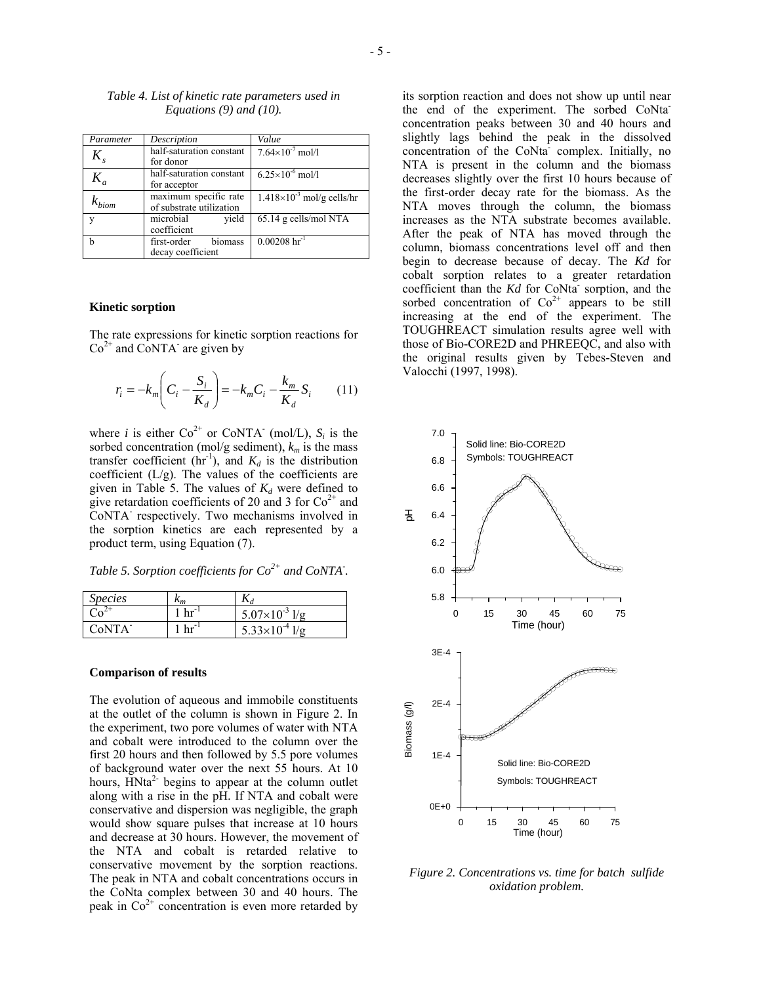| Parameter                     | Description              | Value                               |
|-------------------------------|--------------------------|-------------------------------------|
| $K_{\scriptscriptstyle\rm c}$ | half-saturation constant | $7.64\times10^{-7}$ mol/l           |
|                               | for donor                |                                     |
| $K_{\overline{a}}$            | half-saturation constant | $6.25\times10^{-6}$ mol/l           |
|                               | for acceptor             |                                     |
|                               | maximum specific rate    | $1.418\times10^{-3}$ mol/g cells/hr |
| $\kappa_{\rm biom}$           | of substrate utilization |                                     |
| v                             | microbial<br>vield       | 65.14 g cells/mol NTA               |
|                               | coefficient              |                                     |
| h                             | first-order<br>biomass   | $0.00208 \; hr^{-1}$                |
|                               | decay coefficient        |                                     |

### *Table 4. List of kinetic rate parameters used in Equations (9) and (10).*

### **Kinetic sorption**

The rate expressions for kinetic sorption reactions for  $Co<sup>2+</sup>$  and CoNTA<sup>-</sup> are given by

$$
r_i = -k_m \left( C_i - \frac{S_i}{K_d} \right) = -k_m C_i - \frac{k_m}{K_d} S_i \tag{11}
$$

where *i* is either  $Co^{2+}$  or CoNTA<sup>-</sup> (mol/L),  $S_i$  is the sorbed concentration (mol/g sediment),  $k_m$  is the mass transfer coefficient (hr<sup>-1</sup>), and  $K_d$  is the distribution coefficient  $(L/g)$ . The values of the coefficients are given in Table 5. The values of  $K_d$  were defined to give retardation coefficients of 20 and 3 for  $Co<sup>2+</sup>$  and CoNTA- respectively. Two mechanisms involved in the sorption kinetics are each represented by a product term, using Equation (7).

*Table 5. Sorption coefficients for Co2+ and CoNTA- .* 

| <i>Species</i>     | $n_m$      |                         |
|--------------------|------------|-------------------------|
|                    | $hr^{-1}$  | $5.07\times10^{-3}$ 1/g |
| C <sub>0</sub> NTA | $h r^{-1}$ | $5.33 \times 10^{-4}$   |

#### **Comparison of results**

The evolution of aqueous and immobile constituents at the outlet of the column is shown in Figure 2. In the experiment, two pore volumes of water with NTA and cobalt were introduced to the column over the first 20 hours and then followed by 5.5 pore volumes of background water over the next 55 hours. At 10 hours,  $HNta<sup>2</sup>$  begins to appear at the column outlet along with a rise in the pH. If NTA and cobalt were conservative and dispersion was negligible, the graph would show square pulses that increase at 10 hours and decrease at 30 hours. However, the movement of the NTA and cobalt is retarded relative to conservative movement by the sorption reactions. The peak in NTA and cobalt concentrations occurs in the CoNta complex between 30 and 40 hours. The peak in  $Co<sup>2+</sup>$  concentration is even more retarded by

its sorption reaction and does not show up until near the end of the experiment. The sorbed CoNtaconcentration peaks between 30 and 40 hours and slightly lags behind the peak in the dissolved concentration of the CoNta<sup>-</sup> complex. Initially, no NTA is present in the column and the biomass decreases slightly over the first 10 hours because of the first-order decay rate for the biomass. As the NTA moves through the column, the biomass increases as the NTA substrate becomes available. After the peak of NTA has moved through the column, biomass concentrations level off and then begin to decrease because of decay. The *Kd* for cobalt sorption relates to a greater retardation coefficient than the  $Kd$  for CoNta<sup>-</sup> sorption, and the sorbed concentration of  $Co<sup>2+</sup>$  appears to be still increasing at the end of the experiment. The TOUGHREACT simulation results agree well with those of Bio-CORE2D and PHREEQC, and also with the original results given by Tebes-Steven and Valocchi (1997, 1998).



*Figure 2. Concentrations vs. time for batch sulfide oxidation problem.*